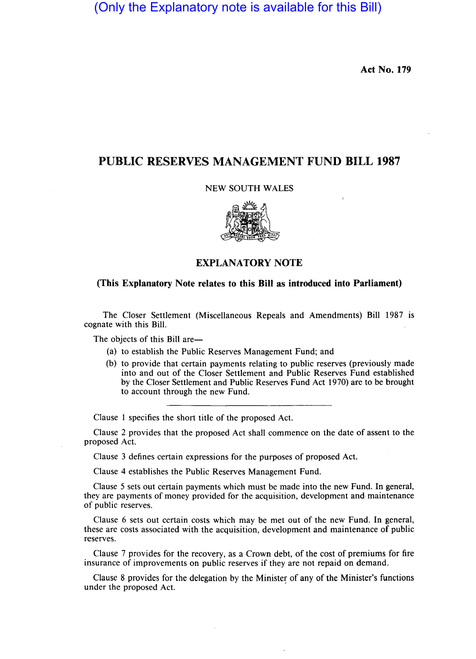(Only the Explanatory note is available for this Bill)

Act No. 179

## PUBLIC RESERVES MANAGEMENT FUND BILL 1987

#### NEW SOUTH WALES



### EXPLANATORY NOTE

#### (This Explanatory Note relates to this Bill as introduced into Parliament)

The Closer Settlement (Miscellaneous Repeals and Amendments) Bill 1987 is cognate with this Bill.

The objects of this Bill are-

- (a) to establish the Public Reserves Management Fund; and
- (b) to provide that certain payments relating to public reserves (previously made into and out of the Closer Settlement and Public Reserves Fund established by the Closer Settlement and Public Reserves Fund Act 1970) are to be brought to account through the new Fund.

Clause 1 specifies the short title of the proposed Act.

Clause 2 provides that the proposed Act shall commence on the date of assent to the proposed Act.

Clause 3 defines certain expressions for the purposes of proposed Act.

Clause 4 establishes the Public Reserves Management Fund.

Clause 5 sets out certain payments which must be made into the new Fund. In general, they are payments of money provided for the acquisition, development and maintenance of public reserves.

Clause 6 sets out certain costs which may be met out of the new Fund. In general, these are costs associated with the acquisition, development and maintenance of public reserves.

Clause 7 provides for the recovery, as a Crown debt, of the cost of premiums for fire insurance of improvements on public reserves if they are not repaid on demand.

Clause 8 provides for the delegation by the Minister of any of the Minister's functions under the proposed Act. .